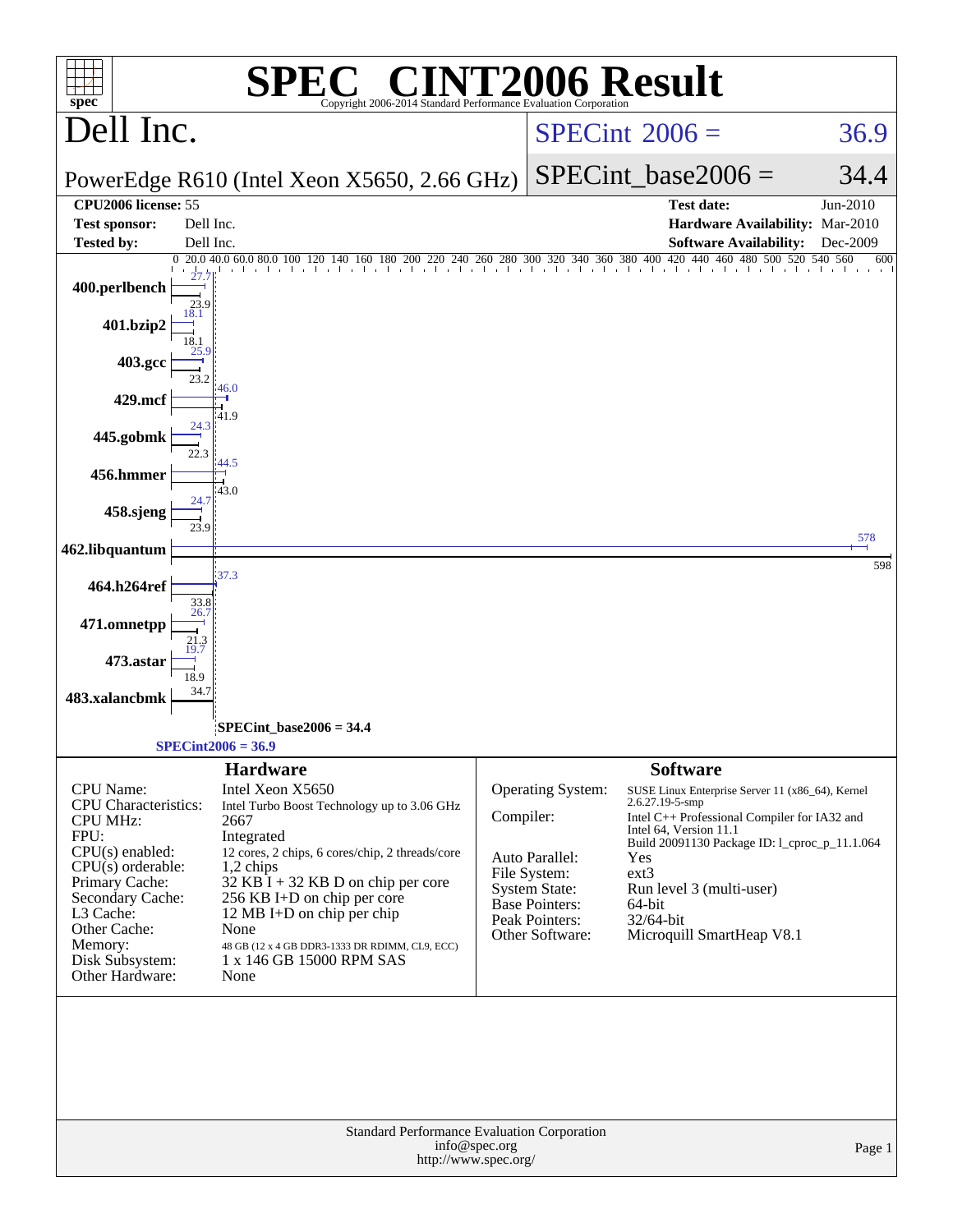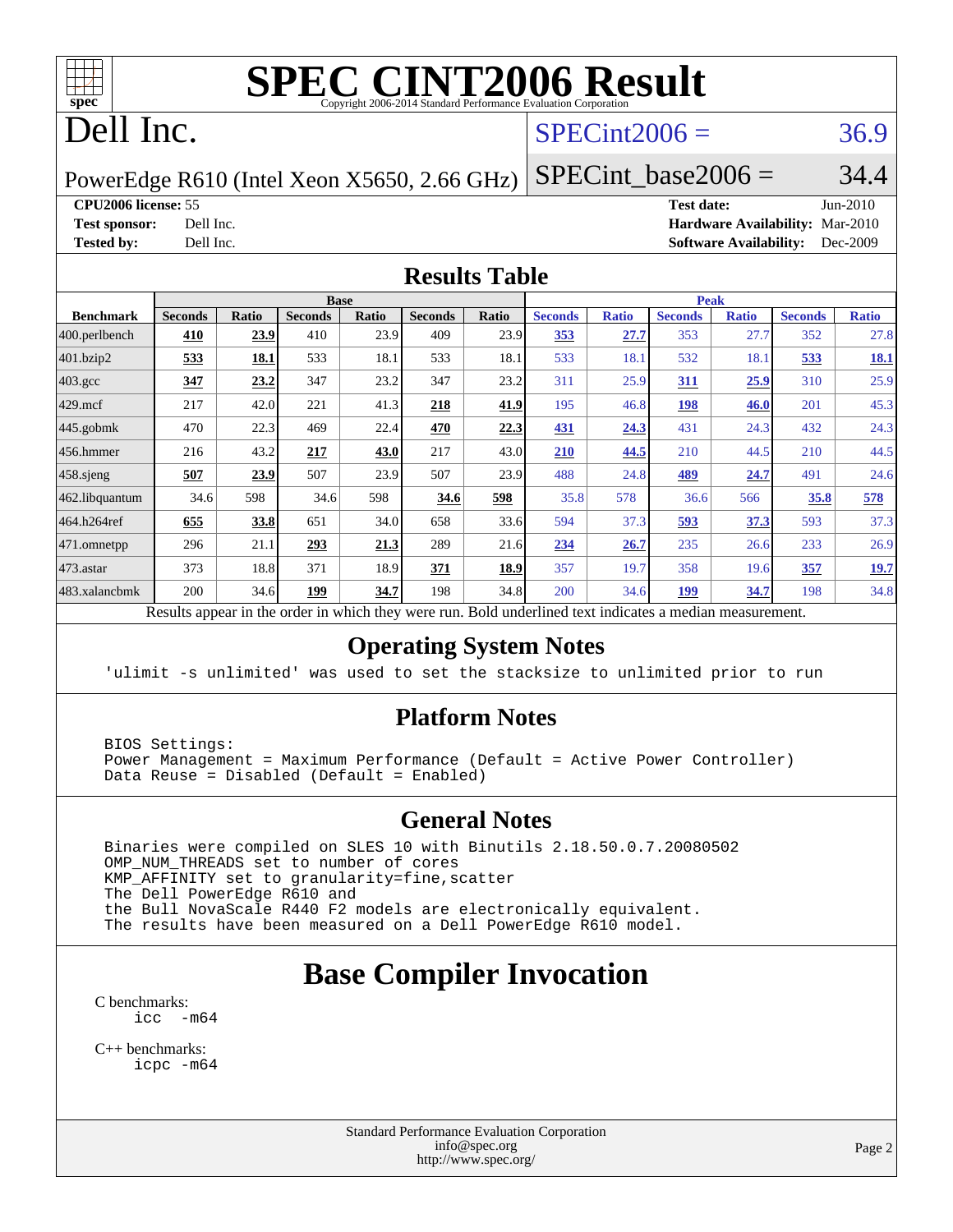

# **[SPEC CINT2006 Result](http://www.spec.org/auto/cpu2006/Docs/result-fields.html#SPECCINT2006Result)**

# Dell Inc.

#### $SPECint2006 = 36.9$  $SPECint2006 = 36.9$

PowerEdge R610 (Intel Xeon X5650, 2.66 GHz)

SPECint base2006 =  $34.4$ **[CPU2006 license:](http://www.spec.org/auto/cpu2006/Docs/result-fields.html#CPU2006license)** 55 **[Test date:](http://www.spec.org/auto/cpu2006/Docs/result-fields.html#Testdate)** Jun-2010 **[Test sponsor:](http://www.spec.org/auto/cpu2006/Docs/result-fields.html#Testsponsor)** Dell Inc. **[Hardware Availability:](http://www.spec.org/auto/cpu2006/Docs/result-fields.html#HardwareAvailability)** Mar-2010

**[Tested by:](http://www.spec.org/auto/cpu2006/Docs/result-fields.html#Testedby)** Dell Inc. **[Software Availability:](http://www.spec.org/auto/cpu2006/Docs/result-fields.html#SoftwareAvailability)** Dec-2009

#### **[Results Table](http://www.spec.org/auto/cpu2006/Docs/result-fields.html#ResultsTable)**

|                  |                |              | <b>Base</b>    |              |                |            |                |              | <b>Peak</b>    |              |                |              |
|------------------|----------------|--------------|----------------|--------------|----------------|------------|----------------|--------------|----------------|--------------|----------------|--------------|
| <b>Benchmark</b> | <b>Seconds</b> | <b>Ratio</b> | <b>Seconds</b> | <b>Ratio</b> | <b>Seconds</b> | Ratio      | <b>Seconds</b> | <b>Ratio</b> | <b>Seconds</b> | <b>Ratio</b> | <b>Seconds</b> | <b>Ratio</b> |
| 400.perlbench    | 410            | 23.9         | 410            | 23.9         | 409            | 23.9       | 353            | 27.7         | 353            | 27.7         | 352            | 27.8         |
| 401.bzip2        | 533            | 18.1         | 533            | 18.1         | 533            | 18.1       | 533            | 18.1         | 532            | 18.1         | 533            | <u>18.1</u>  |
| $403.\text{gcc}$ | 347            | 23.2         | 347            | 23.2         | 347            | 23.2       | 311            | 25.9         | 311            | 25.9         | 310            | 25.9         |
| $429$ mcf        | 217            | 42.0         | 221            | 41.3         | 218            | 41.9       | 195            | 46.8         | <u>198</u>     | <b>46.0</b>  | 201            | 45.3         |
| $445$ .gobmk     | 470            | 22.3         | 469            | 22.4         | 470            | 22.3       | 431            | 24.3         | 431            | 24.3         | 432            | 24.3         |
| $ 456$ .hmmer    | 216            | 43.2         | 217            | 43.0         | 217            | 43.0       | 210            | 44.5         | 210            | 44.5         | 210            | 44.5         |
| $458$ .sjeng     | 507            | 23.9         | 507            | 23.9         | 507            | 23.9       | 488            | 24.8         | 489            | 24.7         | 491            | 24.6         |
| 462.libquantum   | 34.6           | 598          | 34.6           | 598          | 34.6           | <u>598</u> | 35.8           | 578          | 36.6           | 566          | 35.8           | 578          |
| 464.h264ref      | 655            | 33.8         | 651            | 34.0         | 658            | 33.6       | 594            | 37.3         | 593            | 37.3         | 593            | 37.3         |
| $ 471$ .omnetpp  | 296            | 21.1         | 293            | 21.3         | 289            | 21.6       | 234            | 26.7         | 235            | 26.6         | 233            | 26.9         |
| $473$ . astar    | 373            | 18.8         | 371            | 18.9         | 371            | 18.9       | 357            | 19.7         | 358            | 19.6         | 357            | 19.7         |
| 483.xalancbmk    | 200            | 34.6         | 199            | 34.7         | 198            | 34.8       | 200            | 34.6         | <u> 199</u>    | 34.7         | 198            | 34.8         |

Results appear in the [order in which they were run.](http://www.spec.org/auto/cpu2006/Docs/result-fields.html#RunOrder) Bold underlined text [indicates a median measurement.](http://www.spec.org/auto/cpu2006/Docs/result-fields.html#Median)

#### **[Operating System Notes](http://www.spec.org/auto/cpu2006/Docs/result-fields.html#OperatingSystemNotes)**

'ulimit -s unlimited' was used to set the stacksize to unlimited prior to run

#### **[Platform Notes](http://www.spec.org/auto/cpu2006/Docs/result-fields.html#PlatformNotes)**

 BIOS Settings: Power Management = Maximum Performance (Default = Active Power Controller) Data Reuse = Disabled (Default = Enabled)

#### **[General Notes](http://www.spec.org/auto/cpu2006/Docs/result-fields.html#GeneralNotes)**

 Binaries were compiled on SLES 10 with Binutils 2.18.50.0.7.20080502 OMP\_NUM\_THREADS set to number of cores KMP\_AFFINITY set to granularity=fine,scatter The Dell PowerEdge R610 and the Bull NovaScale R440 F2 models are electronically equivalent. The results have been measured on a Dell PowerEdge R610 model.

## **[Base Compiler Invocation](http://www.spec.org/auto/cpu2006/Docs/result-fields.html#BaseCompilerInvocation)**

[C benchmarks](http://www.spec.org/auto/cpu2006/Docs/result-fields.html#Cbenchmarks): [icc -m64](http://www.spec.org/cpu2006/results/res2010q3/cpu2006-20100702-12152.flags.html#user_CCbase_intel_icc_64bit_f346026e86af2a669e726fe758c88044)

[C++ benchmarks:](http://www.spec.org/auto/cpu2006/Docs/result-fields.html#CXXbenchmarks) [icpc -m64](http://www.spec.org/cpu2006/results/res2010q3/cpu2006-20100702-12152.flags.html#user_CXXbase_intel_icpc_64bit_fc66a5337ce925472a5c54ad6a0de310)

> Standard Performance Evaluation Corporation [info@spec.org](mailto:info@spec.org) <http://www.spec.org/>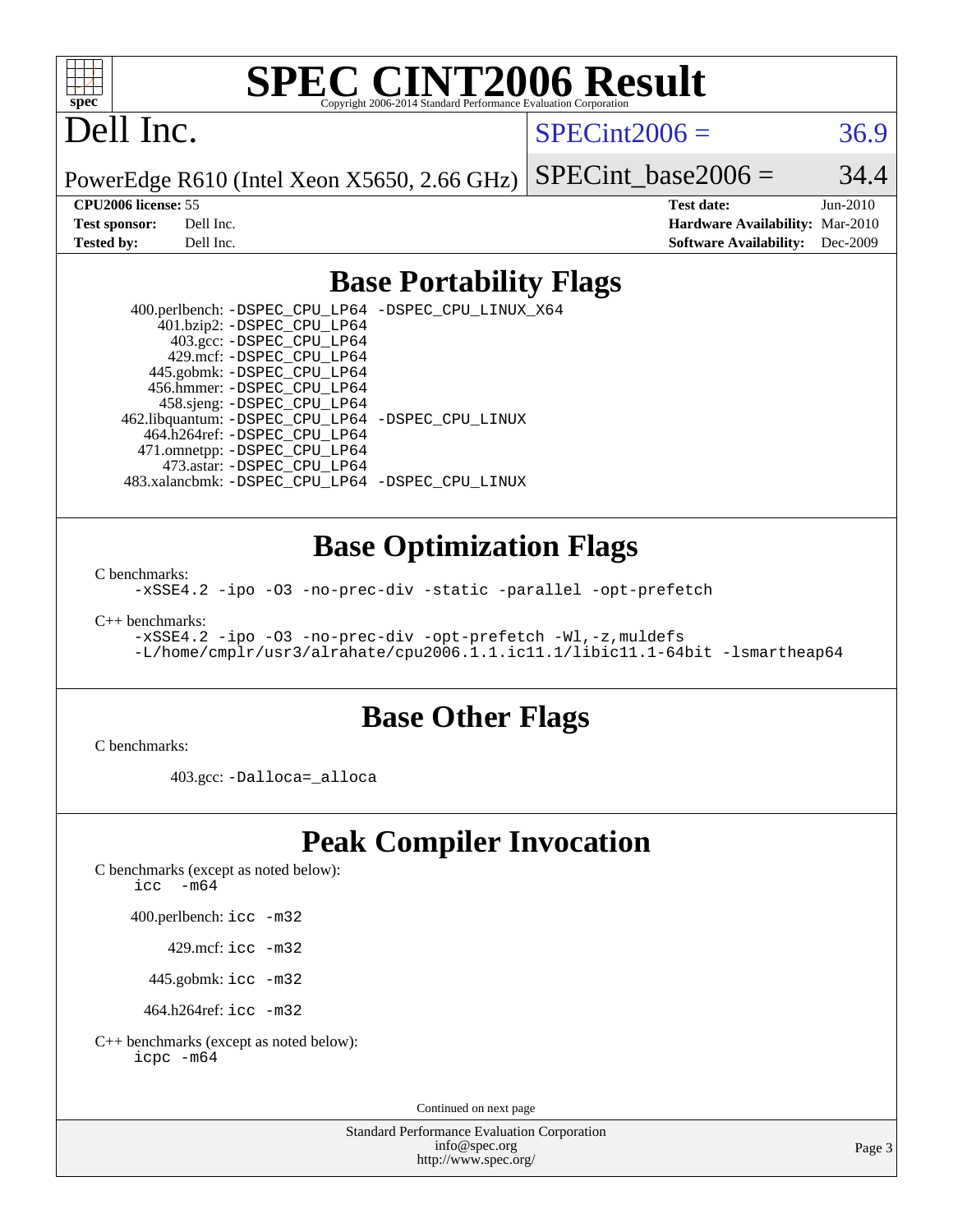

# **[SPEC CINT2006 Result](http://www.spec.org/auto/cpu2006/Docs/result-fields.html#SPECCINT2006Result)**

# Dell Inc.

 $SPECint2006 = 36.9$  $SPECint2006 = 36.9$ 

PowerEdge R610 (Intel Xeon X5650, 2.66 GHz)

SPECint base2006 =  $34.4$ 

**[CPU2006 license:](http://www.spec.org/auto/cpu2006/Docs/result-fields.html#CPU2006license)** 55 **[Test date:](http://www.spec.org/auto/cpu2006/Docs/result-fields.html#Testdate)** Jun-2010 **[Test sponsor:](http://www.spec.org/auto/cpu2006/Docs/result-fields.html#Testsponsor)** Dell Inc. **[Hardware Availability:](http://www.spec.org/auto/cpu2006/Docs/result-fields.html#HardwareAvailability)** Mar-2010 **[Tested by:](http://www.spec.org/auto/cpu2006/Docs/result-fields.html#Testedby)** Dell Inc. **[Software Availability:](http://www.spec.org/auto/cpu2006/Docs/result-fields.html#SoftwareAvailability)** Dec-2009

#### **[Base Portability Flags](http://www.spec.org/auto/cpu2006/Docs/result-fields.html#BasePortabilityFlags)**

 400.perlbench: [-DSPEC\\_CPU\\_LP64](http://www.spec.org/cpu2006/results/res2010q3/cpu2006-20100702-12152.flags.html#b400.perlbench_basePORTABILITY_DSPEC_CPU_LP64) [-DSPEC\\_CPU\\_LINUX\\_X64](http://www.spec.org/cpu2006/results/res2010q3/cpu2006-20100702-12152.flags.html#b400.perlbench_baseCPORTABILITY_DSPEC_CPU_LINUX_X64) 401.bzip2: [-DSPEC\\_CPU\\_LP64](http://www.spec.org/cpu2006/results/res2010q3/cpu2006-20100702-12152.flags.html#suite_basePORTABILITY401_bzip2_DSPEC_CPU_LP64) 403.gcc: [-DSPEC\\_CPU\\_LP64](http://www.spec.org/cpu2006/results/res2010q3/cpu2006-20100702-12152.flags.html#suite_basePORTABILITY403_gcc_DSPEC_CPU_LP64) 429.mcf: [-DSPEC\\_CPU\\_LP64](http://www.spec.org/cpu2006/results/res2010q3/cpu2006-20100702-12152.flags.html#suite_basePORTABILITY429_mcf_DSPEC_CPU_LP64) 445.gobmk: [-DSPEC\\_CPU\\_LP64](http://www.spec.org/cpu2006/results/res2010q3/cpu2006-20100702-12152.flags.html#suite_basePORTABILITY445_gobmk_DSPEC_CPU_LP64) 456.hmmer: [-DSPEC\\_CPU\\_LP64](http://www.spec.org/cpu2006/results/res2010q3/cpu2006-20100702-12152.flags.html#suite_basePORTABILITY456_hmmer_DSPEC_CPU_LP64) 458.sjeng: [-DSPEC\\_CPU\\_LP64](http://www.spec.org/cpu2006/results/res2010q3/cpu2006-20100702-12152.flags.html#suite_basePORTABILITY458_sjeng_DSPEC_CPU_LP64) 462.libquantum: [-DSPEC\\_CPU\\_LP64](http://www.spec.org/cpu2006/results/res2010q3/cpu2006-20100702-12152.flags.html#suite_basePORTABILITY462_libquantum_DSPEC_CPU_LP64) [-DSPEC\\_CPU\\_LINUX](http://www.spec.org/cpu2006/results/res2010q3/cpu2006-20100702-12152.flags.html#b462.libquantum_baseCPORTABILITY_DSPEC_CPU_LINUX) 464.h264ref: [-DSPEC\\_CPU\\_LP64](http://www.spec.org/cpu2006/results/res2010q3/cpu2006-20100702-12152.flags.html#suite_basePORTABILITY464_h264ref_DSPEC_CPU_LP64) 471.omnetpp: [-DSPEC\\_CPU\\_LP64](http://www.spec.org/cpu2006/results/res2010q3/cpu2006-20100702-12152.flags.html#suite_basePORTABILITY471_omnetpp_DSPEC_CPU_LP64) 473.astar: [-DSPEC\\_CPU\\_LP64](http://www.spec.org/cpu2006/results/res2010q3/cpu2006-20100702-12152.flags.html#suite_basePORTABILITY473_astar_DSPEC_CPU_LP64) 483.xalancbmk: [-DSPEC\\_CPU\\_LP64](http://www.spec.org/cpu2006/results/res2010q3/cpu2006-20100702-12152.flags.html#suite_basePORTABILITY483_xalancbmk_DSPEC_CPU_LP64) [-DSPEC\\_CPU\\_LINUX](http://www.spec.org/cpu2006/results/res2010q3/cpu2006-20100702-12152.flags.html#b483.xalancbmk_baseCXXPORTABILITY_DSPEC_CPU_LINUX)

#### **[Base Optimization Flags](http://www.spec.org/auto/cpu2006/Docs/result-fields.html#BaseOptimizationFlags)**

[C benchmarks](http://www.spec.org/auto/cpu2006/Docs/result-fields.html#Cbenchmarks):

[-xSSE4.2](http://www.spec.org/cpu2006/results/res2010q3/cpu2006-20100702-12152.flags.html#user_CCbase_f-xSSE42_f91528193cf0b216347adb8b939d4107) [-ipo](http://www.spec.org/cpu2006/results/res2010q3/cpu2006-20100702-12152.flags.html#user_CCbase_f-ipo) [-O3](http://www.spec.org/cpu2006/results/res2010q3/cpu2006-20100702-12152.flags.html#user_CCbase_f-O3) [-no-prec-div](http://www.spec.org/cpu2006/results/res2010q3/cpu2006-20100702-12152.flags.html#user_CCbase_f-no-prec-div) [-static](http://www.spec.org/cpu2006/results/res2010q3/cpu2006-20100702-12152.flags.html#user_CCbase_f-static) [-parallel](http://www.spec.org/cpu2006/results/res2010q3/cpu2006-20100702-12152.flags.html#user_CCbase_f-parallel) [-opt-prefetch](http://www.spec.org/cpu2006/results/res2010q3/cpu2006-20100702-12152.flags.html#user_CCbase_f-opt-prefetch)

[C++ benchmarks:](http://www.spec.org/auto/cpu2006/Docs/result-fields.html#CXXbenchmarks)

[-xSSE4.2](http://www.spec.org/cpu2006/results/res2010q3/cpu2006-20100702-12152.flags.html#user_CXXbase_f-xSSE42_f91528193cf0b216347adb8b939d4107) [-ipo](http://www.spec.org/cpu2006/results/res2010q3/cpu2006-20100702-12152.flags.html#user_CXXbase_f-ipo) [-O3](http://www.spec.org/cpu2006/results/res2010q3/cpu2006-20100702-12152.flags.html#user_CXXbase_f-O3) [-no-prec-div](http://www.spec.org/cpu2006/results/res2010q3/cpu2006-20100702-12152.flags.html#user_CXXbase_f-no-prec-div) [-opt-prefetch](http://www.spec.org/cpu2006/results/res2010q3/cpu2006-20100702-12152.flags.html#user_CXXbase_f-opt-prefetch) [-Wl,-z,muldefs](http://www.spec.org/cpu2006/results/res2010q3/cpu2006-20100702-12152.flags.html#user_CXXbase_link_force_multiple1_74079c344b956b9658436fd1b6dd3a8a) [-L/home/cmplr/usr3/alrahate/cpu2006.1.1.ic11.1/libic11.1-64bit -lsmartheap64](http://www.spec.org/cpu2006/results/res2010q3/cpu2006-20100702-12152.flags.html#user_CXXbase_SmartHeap64_e2306cda84805d1ab360117a79ff779c)

#### **[Base Other Flags](http://www.spec.org/auto/cpu2006/Docs/result-fields.html#BaseOtherFlags)**

[C benchmarks](http://www.spec.org/auto/cpu2006/Docs/result-fields.html#Cbenchmarks):

403.gcc: [-Dalloca=\\_alloca](http://www.spec.org/cpu2006/results/res2010q3/cpu2006-20100702-12152.flags.html#b403.gcc_baseEXTRA_CFLAGS_Dalloca_be3056838c12de2578596ca5467af7f3)

## **[Peak Compiler Invocation](http://www.spec.org/auto/cpu2006/Docs/result-fields.html#PeakCompilerInvocation)**

[C benchmarks \(except as noted below\)](http://www.spec.org/auto/cpu2006/Docs/result-fields.html#Cbenchmarksexceptasnotedbelow):

icc  $-m64$ 

400.perlbench: [icc -m32](http://www.spec.org/cpu2006/results/res2010q3/cpu2006-20100702-12152.flags.html#user_peakCCLD400_perlbench_intel_icc_32bit_a6a621f8d50482236b970c6ac5f55f93)

429.mcf: [icc -m32](http://www.spec.org/cpu2006/results/res2010q3/cpu2006-20100702-12152.flags.html#user_peakCCLD429_mcf_intel_icc_32bit_a6a621f8d50482236b970c6ac5f55f93)

445.gobmk: [icc -m32](http://www.spec.org/cpu2006/results/res2010q3/cpu2006-20100702-12152.flags.html#user_peakCCLD445_gobmk_intel_icc_32bit_a6a621f8d50482236b970c6ac5f55f93)

464.h264ref: [icc -m32](http://www.spec.org/cpu2006/results/res2010q3/cpu2006-20100702-12152.flags.html#user_peakCCLD464_h264ref_intel_icc_32bit_a6a621f8d50482236b970c6ac5f55f93)

[C++ benchmarks \(except as noted below\):](http://www.spec.org/auto/cpu2006/Docs/result-fields.html#CXXbenchmarksexceptasnotedbelow) [icpc -m64](http://www.spec.org/cpu2006/results/res2010q3/cpu2006-20100702-12152.flags.html#user_CXXpeak_intel_icpc_64bit_fc66a5337ce925472a5c54ad6a0de310)

Continued on next page

Standard Performance Evaluation Corporation [info@spec.org](mailto:info@spec.org) <http://www.spec.org/>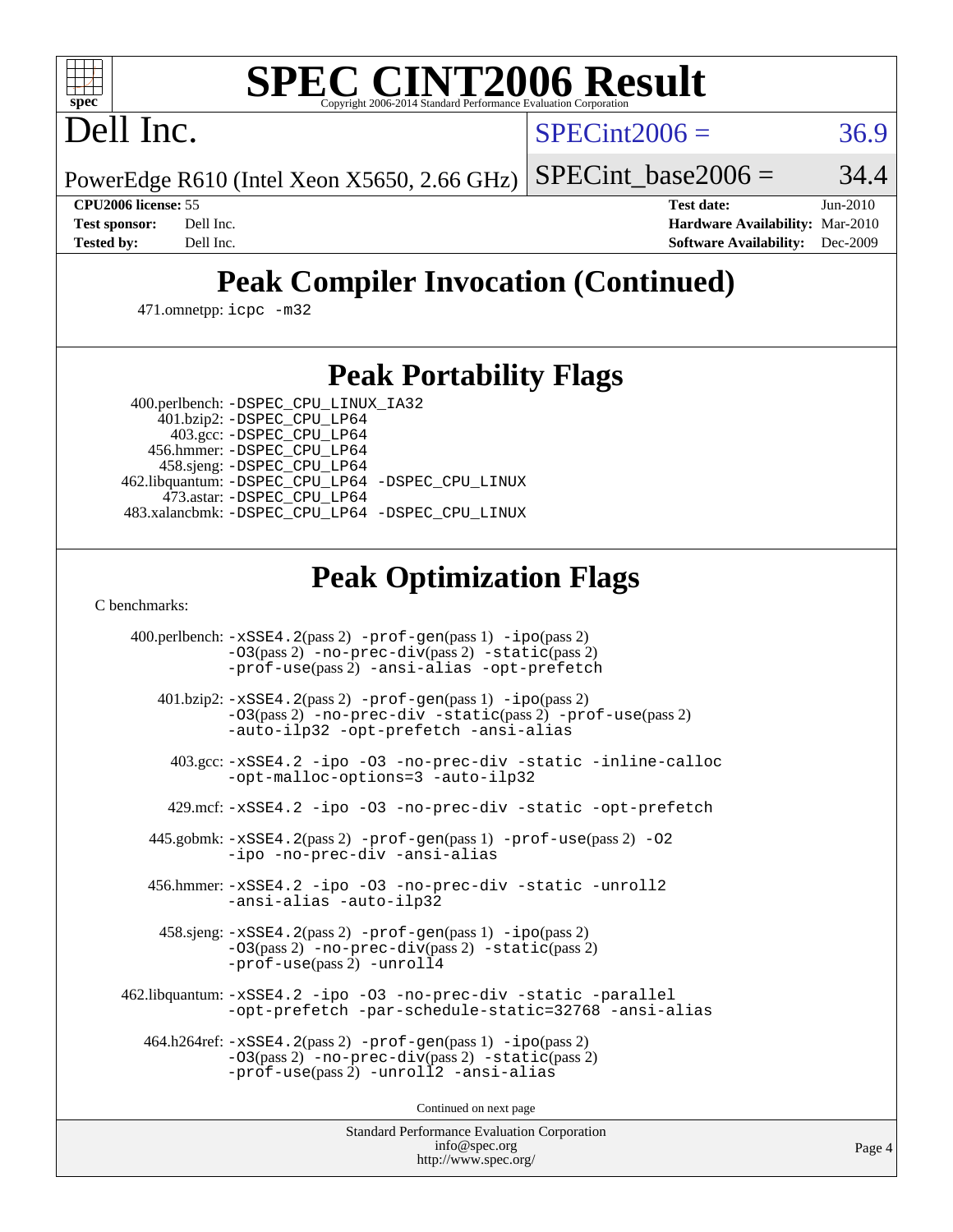# **[SPEC CINT2006 Result](http://www.spec.org/auto/cpu2006/Docs/result-fields.html#SPECCINT2006Result)**

Dell Inc.

 $SPECint2006 = 36.9$  $SPECint2006 = 36.9$ 

PowerEdge R610 (Intel Xeon X5650, 2.66 GHz) SPECint base2006 =  $34.4$ 

**[CPU2006 license:](http://www.spec.org/auto/cpu2006/Docs/result-fields.html#CPU2006license)** 55 **[Test date:](http://www.spec.org/auto/cpu2006/Docs/result-fields.html#Testdate)** Jun-2010 **[Test sponsor:](http://www.spec.org/auto/cpu2006/Docs/result-fields.html#Testsponsor)** Dell Inc. **[Hardware Availability:](http://www.spec.org/auto/cpu2006/Docs/result-fields.html#HardwareAvailability)** Mar-2010 **[Tested by:](http://www.spec.org/auto/cpu2006/Docs/result-fields.html#Testedby)** Dell Inc. **[Software Availability:](http://www.spec.org/auto/cpu2006/Docs/result-fields.html#SoftwareAvailability)** Dec-2009

## **[Peak Compiler Invocation \(Continued\)](http://www.spec.org/auto/cpu2006/Docs/result-fields.html#PeakCompilerInvocation)**

471.omnetpp: [icpc -m32](http://www.spec.org/cpu2006/results/res2010q3/cpu2006-20100702-12152.flags.html#user_peakCXXLD471_omnetpp_intel_icpc_32bit_4e5a5ef1a53fd332b3c49e69c3330699)

### **[Peak Portability Flags](http://www.spec.org/auto/cpu2006/Docs/result-fields.html#PeakPortabilityFlags)**

 400.perlbench: [-DSPEC\\_CPU\\_LINUX\\_IA32](http://www.spec.org/cpu2006/results/res2010q3/cpu2006-20100702-12152.flags.html#b400.perlbench_peakCPORTABILITY_DSPEC_CPU_LINUX_IA32) 401.bzip2: [-DSPEC\\_CPU\\_LP64](http://www.spec.org/cpu2006/results/res2010q3/cpu2006-20100702-12152.flags.html#suite_peakPORTABILITY401_bzip2_DSPEC_CPU_LP64)

 403.gcc: [-DSPEC\\_CPU\\_LP64](http://www.spec.org/cpu2006/results/res2010q3/cpu2006-20100702-12152.flags.html#suite_peakPORTABILITY403_gcc_DSPEC_CPU_LP64) 456.hmmer: [-DSPEC\\_CPU\\_LP64](http://www.spec.org/cpu2006/results/res2010q3/cpu2006-20100702-12152.flags.html#suite_peakPORTABILITY456_hmmer_DSPEC_CPU_LP64) 458.sjeng: [-DSPEC\\_CPU\\_LP64](http://www.spec.org/cpu2006/results/res2010q3/cpu2006-20100702-12152.flags.html#suite_peakPORTABILITY458_sjeng_DSPEC_CPU_LP64) 462.libquantum: [-DSPEC\\_CPU\\_LP64](http://www.spec.org/cpu2006/results/res2010q3/cpu2006-20100702-12152.flags.html#suite_peakPORTABILITY462_libquantum_DSPEC_CPU_LP64) [-DSPEC\\_CPU\\_LINUX](http://www.spec.org/cpu2006/results/res2010q3/cpu2006-20100702-12152.flags.html#b462.libquantum_peakCPORTABILITY_DSPEC_CPU_LINUX) 473.astar: [-DSPEC\\_CPU\\_LP64](http://www.spec.org/cpu2006/results/res2010q3/cpu2006-20100702-12152.flags.html#suite_peakPORTABILITY473_astar_DSPEC_CPU_LP64) 483.xalancbmk: [-DSPEC\\_CPU\\_LP64](http://www.spec.org/cpu2006/results/res2010q3/cpu2006-20100702-12152.flags.html#suite_peakPORTABILITY483_xalancbmk_DSPEC_CPU_LP64) [-DSPEC\\_CPU\\_LINUX](http://www.spec.org/cpu2006/results/res2010q3/cpu2006-20100702-12152.flags.html#b483.xalancbmk_peakCXXPORTABILITY_DSPEC_CPU_LINUX)

## **[Peak Optimization Flags](http://www.spec.org/auto/cpu2006/Docs/result-fields.html#PeakOptimizationFlags)**

[C benchmarks](http://www.spec.org/auto/cpu2006/Docs/result-fields.html#Cbenchmarks):

 400.perlbench: [-xSSE4.2](http://www.spec.org/cpu2006/results/res2010q3/cpu2006-20100702-12152.flags.html#user_peakPASS2_CFLAGSPASS2_LDCFLAGS400_perlbench_f-xSSE42_f91528193cf0b216347adb8b939d4107)(pass 2) [-prof-gen](http://www.spec.org/cpu2006/results/res2010q3/cpu2006-20100702-12152.flags.html#user_peakPASS1_CFLAGSPASS1_LDCFLAGS400_perlbench_prof_gen_e43856698f6ca7b7e442dfd80e94a8fc)(pass 1) [-ipo](http://www.spec.org/cpu2006/results/res2010q3/cpu2006-20100702-12152.flags.html#user_peakPASS2_CFLAGSPASS2_LDCFLAGS400_perlbench_f-ipo)(pass 2) [-O3](http://www.spec.org/cpu2006/results/res2010q3/cpu2006-20100702-12152.flags.html#user_peakPASS2_CFLAGSPASS2_LDCFLAGS400_perlbench_f-O3)(pass 2) [-no-prec-div](http://www.spec.org/cpu2006/results/res2010q3/cpu2006-20100702-12152.flags.html#user_peakPASS2_CFLAGSPASS2_LDCFLAGS400_perlbench_f-no-prec-div)(pass 2) [-static](http://www.spec.org/cpu2006/results/res2010q3/cpu2006-20100702-12152.flags.html#user_peakPASS2_CFLAGSPASS2_LDCFLAGS400_perlbench_f-static)(pass 2) [-prof-use](http://www.spec.org/cpu2006/results/res2010q3/cpu2006-20100702-12152.flags.html#user_peakPASS2_CFLAGSPASS2_LDCFLAGS400_perlbench_prof_use_bccf7792157ff70d64e32fe3e1250b55)(pass 2) [-ansi-alias](http://www.spec.org/cpu2006/results/res2010q3/cpu2006-20100702-12152.flags.html#user_peakCOPTIMIZE400_perlbench_f-ansi-alias) [-opt-prefetch](http://www.spec.org/cpu2006/results/res2010q3/cpu2006-20100702-12152.flags.html#user_peakCOPTIMIZE400_perlbench_f-opt-prefetch) 401.bzip2: [-xSSE4.2](http://www.spec.org/cpu2006/results/res2010q3/cpu2006-20100702-12152.flags.html#user_peakPASS2_CFLAGSPASS2_LDCFLAGS401_bzip2_f-xSSE42_f91528193cf0b216347adb8b939d4107)(pass 2) [-prof-gen](http://www.spec.org/cpu2006/results/res2010q3/cpu2006-20100702-12152.flags.html#user_peakPASS1_CFLAGSPASS1_LDCFLAGS401_bzip2_prof_gen_e43856698f6ca7b7e442dfd80e94a8fc)(pass 1) [-ipo](http://www.spec.org/cpu2006/results/res2010q3/cpu2006-20100702-12152.flags.html#user_peakPASS2_CFLAGSPASS2_LDCFLAGS401_bzip2_f-ipo)(pass 2) [-O3](http://www.spec.org/cpu2006/results/res2010q3/cpu2006-20100702-12152.flags.html#user_peakPASS2_CFLAGSPASS2_LDCFLAGS401_bzip2_f-O3)(pass 2) [-no-prec-div](http://www.spec.org/cpu2006/results/res2010q3/cpu2006-20100702-12152.flags.html#user_peakCOPTIMIZEPASS2_CFLAGSPASS2_LDCFLAGS401_bzip2_f-no-prec-div) [-static](http://www.spec.org/cpu2006/results/res2010q3/cpu2006-20100702-12152.flags.html#user_peakPASS2_CFLAGSPASS2_LDCFLAGS401_bzip2_f-static)(pass 2) [-prof-use](http://www.spec.org/cpu2006/results/res2010q3/cpu2006-20100702-12152.flags.html#user_peakPASS2_CFLAGSPASS2_LDCFLAGS401_bzip2_prof_use_bccf7792157ff70d64e32fe3e1250b55)(pass 2) [-auto-ilp32](http://www.spec.org/cpu2006/results/res2010q3/cpu2006-20100702-12152.flags.html#user_peakCOPTIMIZE401_bzip2_f-auto-ilp32) [-opt-prefetch](http://www.spec.org/cpu2006/results/res2010q3/cpu2006-20100702-12152.flags.html#user_peakCOPTIMIZE401_bzip2_f-opt-prefetch) [-ansi-alias](http://www.spec.org/cpu2006/results/res2010q3/cpu2006-20100702-12152.flags.html#user_peakCOPTIMIZE401_bzip2_f-ansi-alias) 403.gcc: [-xSSE4.2](http://www.spec.org/cpu2006/results/res2010q3/cpu2006-20100702-12152.flags.html#user_peakCOPTIMIZE403_gcc_f-xSSE42_f91528193cf0b216347adb8b939d4107) [-ipo](http://www.spec.org/cpu2006/results/res2010q3/cpu2006-20100702-12152.flags.html#user_peakCOPTIMIZE403_gcc_f-ipo) [-O3](http://www.spec.org/cpu2006/results/res2010q3/cpu2006-20100702-12152.flags.html#user_peakCOPTIMIZE403_gcc_f-O3) [-no-prec-div](http://www.spec.org/cpu2006/results/res2010q3/cpu2006-20100702-12152.flags.html#user_peakCOPTIMIZE403_gcc_f-no-prec-div) [-static](http://www.spec.org/cpu2006/results/res2010q3/cpu2006-20100702-12152.flags.html#user_peakCOPTIMIZE403_gcc_f-static) [-inline-calloc](http://www.spec.org/cpu2006/results/res2010q3/cpu2006-20100702-12152.flags.html#user_peakCOPTIMIZE403_gcc_f-inline-calloc) [-opt-malloc-options=3](http://www.spec.org/cpu2006/results/res2010q3/cpu2006-20100702-12152.flags.html#user_peakCOPTIMIZE403_gcc_f-opt-malloc-options_13ab9b803cf986b4ee62f0a5998c2238) [-auto-ilp32](http://www.spec.org/cpu2006/results/res2010q3/cpu2006-20100702-12152.flags.html#user_peakCOPTIMIZE403_gcc_f-auto-ilp32) 429.mcf: [-xSSE4.2](http://www.spec.org/cpu2006/results/res2010q3/cpu2006-20100702-12152.flags.html#user_peakCOPTIMIZE429_mcf_f-xSSE42_f91528193cf0b216347adb8b939d4107) [-ipo](http://www.spec.org/cpu2006/results/res2010q3/cpu2006-20100702-12152.flags.html#user_peakCOPTIMIZE429_mcf_f-ipo) [-O3](http://www.spec.org/cpu2006/results/res2010q3/cpu2006-20100702-12152.flags.html#user_peakCOPTIMIZE429_mcf_f-O3) [-no-prec-div](http://www.spec.org/cpu2006/results/res2010q3/cpu2006-20100702-12152.flags.html#user_peakCOPTIMIZE429_mcf_f-no-prec-div) [-static](http://www.spec.org/cpu2006/results/res2010q3/cpu2006-20100702-12152.flags.html#user_peakCOPTIMIZE429_mcf_f-static) [-opt-prefetch](http://www.spec.org/cpu2006/results/res2010q3/cpu2006-20100702-12152.flags.html#user_peakCOPTIMIZE429_mcf_f-opt-prefetch) 445.gobmk: [-xSSE4.2](http://www.spec.org/cpu2006/results/res2010q3/cpu2006-20100702-12152.flags.html#user_peakPASS2_CFLAGSPASS2_LDCFLAGS445_gobmk_f-xSSE42_f91528193cf0b216347adb8b939d4107)(pass 2) [-prof-gen](http://www.spec.org/cpu2006/results/res2010q3/cpu2006-20100702-12152.flags.html#user_peakPASS1_CFLAGSPASS1_LDCFLAGS445_gobmk_prof_gen_e43856698f6ca7b7e442dfd80e94a8fc)(pass 1) [-prof-use](http://www.spec.org/cpu2006/results/res2010q3/cpu2006-20100702-12152.flags.html#user_peakPASS2_CFLAGSPASS2_LDCFLAGS445_gobmk_prof_use_bccf7792157ff70d64e32fe3e1250b55)(pass 2) [-O2](http://www.spec.org/cpu2006/results/res2010q3/cpu2006-20100702-12152.flags.html#user_peakCOPTIMIZE445_gobmk_f-O2) [-ipo](http://www.spec.org/cpu2006/results/res2010q3/cpu2006-20100702-12152.flags.html#user_peakCOPTIMIZE445_gobmk_f-ipo) [-no-prec-div](http://www.spec.org/cpu2006/results/res2010q3/cpu2006-20100702-12152.flags.html#user_peakCOPTIMIZE445_gobmk_f-no-prec-div) [-ansi-alias](http://www.spec.org/cpu2006/results/res2010q3/cpu2006-20100702-12152.flags.html#user_peakCOPTIMIZE445_gobmk_f-ansi-alias) 456.hmmer: [-xSSE4.2](http://www.spec.org/cpu2006/results/res2010q3/cpu2006-20100702-12152.flags.html#user_peakCOPTIMIZE456_hmmer_f-xSSE42_f91528193cf0b216347adb8b939d4107) [-ipo](http://www.spec.org/cpu2006/results/res2010q3/cpu2006-20100702-12152.flags.html#user_peakCOPTIMIZE456_hmmer_f-ipo) [-O3](http://www.spec.org/cpu2006/results/res2010q3/cpu2006-20100702-12152.flags.html#user_peakCOPTIMIZE456_hmmer_f-O3) [-no-prec-div](http://www.spec.org/cpu2006/results/res2010q3/cpu2006-20100702-12152.flags.html#user_peakCOPTIMIZE456_hmmer_f-no-prec-div) [-static](http://www.spec.org/cpu2006/results/res2010q3/cpu2006-20100702-12152.flags.html#user_peakCOPTIMIZE456_hmmer_f-static) [-unroll2](http://www.spec.org/cpu2006/results/res2010q3/cpu2006-20100702-12152.flags.html#user_peakCOPTIMIZE456_hmmer_f-unroll_784dae83bebfb236979b41d2422d7ec2) [-ansi-alias](http://www.spec.org/cpu2006/results/res2010q3/cpu2006-20100702-12152.flags.html#user_peakCOPTIMIZE456_hmmer_f-ansi-alias) [-auto-ilp32](http://www.spec.org/cpu2006/results/res2010q3/cpu2006-20100702-12152.flags.html#user_peakCOPTIMIZE456_hmmer_f-auto-ilp32) 458.sjeng: [-xSSE4.2](http://www.spec.org/cpu2006/results/res2010q3/cpu2006-20100702-12152.flags.html#user_peakPASS2_CFLAGSPASS2_LDCFLAGS458_sjeng_f-xSSE42_f91528193cf0b216347adb8b939d4107)(pass 2) [-prof-gen](http://www.spec.org/cpu2006/results/res2010q3/cpu2006-20100702-12152.flags.html#user_peakPASS1_CFLAGSPASS1_LDCFLAGS458_sjeng_prof_gen_e43856698f6ca7b7e442dfd80e94a8fc)(pass 1) [-ipo](http://www.spec.org/cpu2006/results/res2010q3/cpu2006-20100702-12152.flags.html#user_peakPASS2_CFLAGSPASS2_LDCFLAGS458_sjeng_f-ipo)(pass 2) [-O3](http://www.spec.org/cpu2006/results/res2010q3/cpu2006-20100702-12152.flags.html#user_peakPASS2_CFLAGSPASS2_LDCFLAGS458_sjeng_f-O3)(pass 2) [-no-prec-div](http://www.spec.org/cpu2006/results/res2010q3/cpu2006-20100702-12152.flags.html#user_peakPASS2_CFLAGSPASS2_LDCFLAGS458_sjeng_f-no-prec-div)(pass 2) [-static](http://www.spec.org/cpu2006/results/res2010q3/cpu2006-20100702-12152.flags.html#user_peakPASS2_CFLAGSPASS2_LDCFLAGS458_sjeng_f-static)(pass 2) [-prof-use](http://www.spec.org/cpu2006/results/res2010q3/cpu2006-20100702-12152.flags.html#user_peakPASS2_CFLAGSPASS2_LDCFLAGS458_sjeng_prof_use_bccf7792157ff70d64e32fe3e1250b55)(pass 2) [-unroll4](http://www.spec.org/cpu2006/results/res2010q3/cpu2006-20100702-12152.flags.html#user_peakCOPTIMIZE458_sjeng_f-unroll_4e5e4ed65b7fd20bdcd365bec371b81f) 462.libquantum: [-xSSE4.2](http://www.spec.org/cpu2006/results/res2010q3/cpu2006-20100702-12152.flags.html#user_peakCOPTIMIZE462_libquantum_f-xSSE42_f91528193cf0b216347adb8b939d4107) [-ipo](http://www.spec.org/cpu2006/results/res2010q3/cpu2006-20100702-12152.flags.html#user_peakCOPTIMIZE462_libquantum_f-ipo) [-O3](http://www.spec.org/cpu2006/results/res2010q3/cpu2006-20100702-12152.flags.html#user_peakCOPTIMIZE462_libquantum_f-O3) [-no-prec-div](http://www.spec.org/cpu2006/results/res2010q3/cpu2006-20100702-12152.flags.html#user_peakCOPTIMIZE462_libquantum_f-no-prec-div) [-static](http://www.spec.org/cpu2006/results/res2010q3/cpu2006-20100702-12152.flags.html#user_peakCOPTIMIZE462_libquantum_f-static) [-parallel](http://www.spec.org/cpu2006/results/res2010q3/cpu2006-20100702-12152.flags.html#user_peakCOPTIMIZE462_libquantum_f-parallel) [-opt-prefetch](http://www.spec.org/cpu2006/results/res2010q3/cpu2006-20100702-12152.flags.html#user_peakCOPTIMIZE462_libquantum_f-opt-prefetch) [-par-schedule-static=32768](http://www.spec.org/cpu2006/results/res2010q3/cpu2006-20100702-12152.flags.html#user_peakCOPTIMIZE462_libquantum_f-par-schedule_9386bcd99ba64e99ee01d1aafefddd14) [-ansi-alias](http://www.spec.org/cpu2006/results/res2010q3/cpu2006-20100702-12152.flags.html#user_peakCOPTIMIZE462_libquantum_f-ansi-alias) 464.h264ref: [-xSSE4.2](http://www.spec.org/cpu2006/results/res2010q3/cpu2006-20100702-12152.flags.html#user_peakPASS2_CFLAGSPASS2_LDCFLAGS464_h264ref_f-xSSE42_f91528193cf0b216347adb8b939d4107)(pass 2) [-prof-gen](http://www.spec.org/cpu2006/results/res2010q3/cpu2006-20100702-12152.flags.html#user_peakPASS1_CFLAGSPASS1_LDCFLAGS464_h264ref_prof_gen_e43856698f6ca7b7e442dfd80e94a8fc)(pass 1) [-ipo](http://www.spec.org/cpu2006/results/res2010q3/cpu2006-20100702-12152.flags.html#user_peakPASS2_CFLAGSPASS2_LDCFLAGS464_h264ref_f-ipo)(pass 2) [-O3](http://www.spec.org/cpu2006/results/res2010q3/cpu2006-20100702-12152.flags.html#user_peakPASS2_CFLAGSPASS2_LDCFLAGS464_h264ref_f-O3)(pass 2) [-no-prec-div](http://www.spec.org/cpu2006/results/res2010q3/cpu2006-20100702-12152.flags.html#user_peakPASS2_CFLAGSPASS2_LDCFLAGS464_h264ref_f-no-prec-div)(pass 2) [-static](http://www.spec.org/cpu2006/results/res2010q3/cpu2006-20100702-12152.flags.html#user_peakPASS2_CFLAGSPASS2_LDCFLAGS464_h264ref_f-static)(pass 2) [-prof-use](http://www.spec.org/cpu2006/results/res2010q3/cpu2006-20100702-12152.flags.html#user_peakPASS2_CFLAGSPASS2_LDCFLAGS464_h264ref_prof_use_bccf7792157ff70d64e32fe3e1250b55)(pass 2) [-unroll2](http://www.spec.org/cpu2006/results/res2010q3/cpu2006-20100702-12152.flags.html#user_peakCOPTIMIZE464_h264ref_f-unroll_784dae83bebfb236979b41d2422d7ec2) [-ansi-alias](http://www.spec.org/cpu2006/results/res2010q3/cpu2006-20100702-12152.flags.html#user_peakCOPTIMIZE464_h264ref_f-ansi-alias)

Continued on next page

Standard Performance Evaluation Corporation [info@spec.org](mailto:info@spec.org) <http://www.spec.org/>